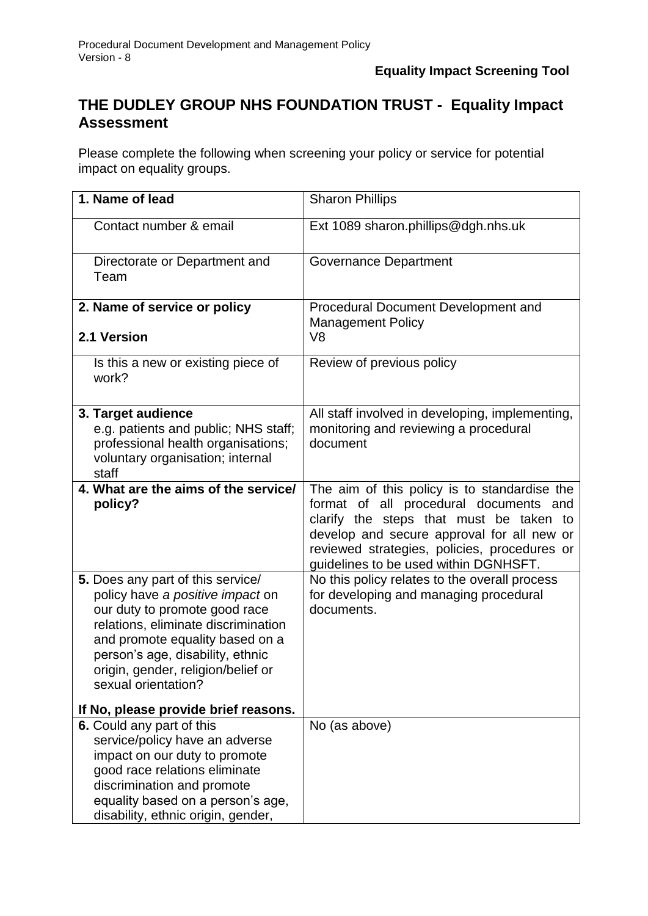## **THE DUDLEY GROUP NHS FOUNDATION TRUST - Equality Impact Assessment**

Please complete the following when screening your policy or service for potential impact on equality groups.

| 1. Name of lead                                                                                                                                                                                                                                                                   | <b>Sharon Phillips</b>                                                                                                                                                                                                                                                   |
|-----------------------------------------------------------------------------------------------------------------------------------------------------------------------------------------------------------------------------------------------------------------------------------|--------------------------------------------------------------------------------------------------------------------------------------------------------------------------------------------------------------------------------------------------------------------------|
| Contact number & email                                                                                                                                                                                                                                                            | Ext 1089 sharon.phillips@dgh.nhs.uk                                                                                                                                                                                                                                      |
| Directorate or Department and<br>Team                                                                                                                                                                                                                                             | <b>Governance Department</b>                                                                                                                                                                                                                                             |
| 2. Name of service or policy                                                                                                                                                                                                                                                      | Procedural Document Development and<br><b>Management Policy</b>                                                                                                                                                                                                          |
| 2.1 Version                                                                                                                                                                                                                                                                       | V <sub>8</sub>                                                                                                                                                                                                                                                           |
| Is this a new or existing piece of<br>work?                                                                                                                                                                                                                                       | Review of previous policy                                                                                                                                                                                                                                                |
| 3. Target audience<br>e.g. patients and public; NHS staff;<br>professional health organisations;<br>voluntary organisation; internal<br>staff                                                                                                                                     | All staff involved in developing, implementing,<br>monitoring and reviewing a procedural<br>document                                                                                                                                                                     |
| 4. What are the aims of the service/<br>policy?                                                                                                                                                                                                                                   | The aim of this policy is to standardise the<br>format of all procedural documents and<br>clarify the steps that must be taken to<br>develop and secure approval for all new or<br>reviewed strategies, policies, procedures or<br>guidelines to be used within DGNHSFT. |
| 5. Does any part of this service/<br>policy have a positive impact on<br>our duty to promote good race<br>relations, eliminate discrimination<br>and promote equality based on a<br>person's age, disability, ethnic<br>origin, gender, religion/belief or<br>sexual orientation? | No this policy relates to the overall process<br>for developing and managing procedural<br>documents.                                                                                                                                                                    |
| If No, please provide brief reasons.<br>6. Could any part of this<br>service/policy have an adverse<br>impact on our duty to promote<br>good race relations eliminate<br>discrimination and promote<br>equality based on a person's age,<br>disability, ethnic origin, gender,    | No (as above)                                                                                                                                                                                                                                                            |